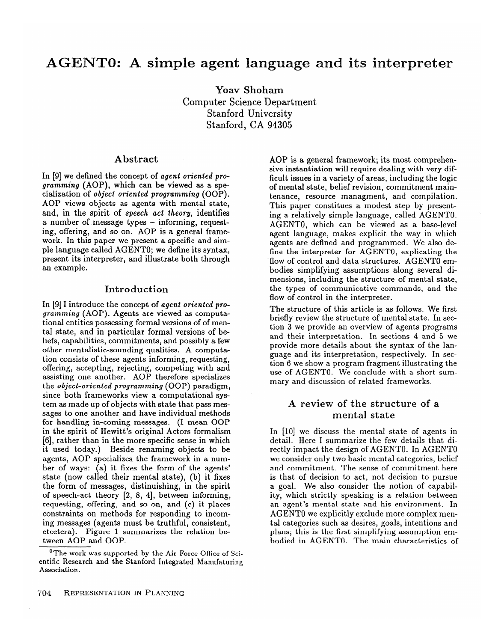# **AGENTO: A simple agent**

**Yoav Shoham**  Computer Science Department Stanford University Stanford, CA **94305** 

#### **Abstract**

In [9] we defined the concept of agent *oriented programming* (AOP), which can be viewed as a specialization of *object oriented programming* (OOP). AOP views objects as agents with mental state, and, in the spirit of *speech act theory,* identifies a number of message types - informing, requesting, offering, and so on. AOP is a general framework. In this paper we present a specific and simple language called AGENTO; we define its syntax, present its interpreter, and illustrate both through an example.

#### **Introduction**

In [9] I introduce the concept of *agent oriented programming* (AOP). Agents are viewed as computational entities possessing formal versions of of mental state, and in particular formal versions of beliefs, capabilities, commitments, and possibly a few other mentalistic-sounding qualities. A computation consists of these agents informing, requesting, offering, accepting, rejecting, competing with and assisting one another. AOP therefore specializes the *object-oriented programming* (OOP) paradigm, since both frameworks view a computational system as made up of objects with state that pass messages to one another and have individual methods for handling in-coming messages. (I mean OOP in the spirit of Hewitt's original Actors formalism [6], rather than in the more specific sense in which it used today.) Beside renaming objects to be agents, AOP specializes the framework in a number of ways: (a) it fixes the form of the agents' state (now called their mental state), (b) it fixes the form of messages, distinuishing, in the spirit of speech-act theory [2, 8, 41, between informing, requesting, offering, and so on, and (c) it places constraints on methods for responding to incoming messages (agents must be truthful, consistent, etcetera). Figure 1 summarizes the relation between AOP and OOP.

AOP is a general framework; its most comprehensive instantiation will require dealing with very difficult issues in a variety of areas, including the logic of mental state, belief revision, commitment maintenance, resource managment, and compilation. This paper constitues a modest step by presenting a relatively simple language, called AGENTO. AGENTO, which can be viewed as a base-level agent language, makes explicit the way in which agents are defined and programmed. We also define the interpreter for AGENTO, explicating the flow of control and data structures. AGENT0 embodies simplifying assumptions along several dimensions, including the structure of mental state, the types of communicative commands, and the flow of control in the interpreter.

The structure of this article is as follows. We first briefly review the structure of mental state. In section 3 we provide an overview of agents programs and their interpretation. In sections 4 and 5 we provide more details about the syntax of the language and its interpretation, respectively. In section 6 we show a program fragment illustrating the use of AGENTO. We conclude with a short summary and discussion of related frameworks.

# **A review of the structure of a mental state**

In [10] we discuss the mental state of agents in detail. Here I summarize the few details that directly impact the design of AGENTO. In AGENT0 we consider only two basic mental categories, belief and commitment. The sense of commitment here is that of decision to act, not decision to pursue a goal. We also consider the notion of capability, which strictly speaking is a relation between an agent's mental state and his environment. In AGENT0 we explicitly exclude more complex mental categories such as desires, goals, intentions and plans; this is the first simplifying assumption embodied in AGENTO. The main characteristics of

**The work was supported by the Air Force Office of Scientific Research and the Stanford Integrated Manufaturing Association.**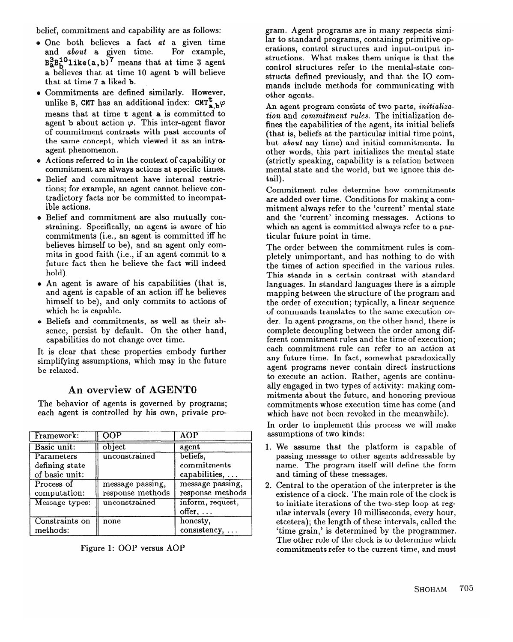belief, commitment and capability are as follows:

- e One both believes a fact *at* a given time and *about* a given time. For example,  $B_2^2B_6^1$  like(a,b)' means that at time 3 agent a believes that at time 10 agent b will believe that at time 7 a liked b.
- e Commitments are defined similarly. However, unlike B, CMT has an additional index: CMT<sub>a</sub>  $b\varphi$ means that at time t agent a is committed to agent **b** about action  $\varphi$ . This inter-agent flavor of commitment contrasts with past accounts of the same concept, which viewed it as an intraagent phenomenon.
- e Actions referred to in the context of capability or commitment are always actions at specific times.
- Belief and commitment have internal restrictions; for example, an agent cannot believe contradictory facts nor be committed to incompatible actions.
- d Belief and commitment are also mutually constraining. Specifically, an agent is aware of his commitments (i.e., an agent is committed iff he believes himself to be), and an agent only commits in good faith (i.e., if an agent commit to a future fact then he believe the fact will indeed hold).
- e An agent is aware of his capabilities (that is, and agent is capable of an action iff he believes himself to be), and only commits to actions of which he is capable.
- o Beliefs and commitments, as well as their absence, persist by default. On the other hand, capabilities do not change over time.

It is clear that these properties embody further simplifying assumptions, which may in the future be relaxed.

# **An overview of AGENT0**

The behavior of agents is governed by programs; each agent is controlled by his own, private pro-

| Framework:     | OOP              | AOP              |
|----------------|------------------|------------------|
| Basic unit:    | object           | agent            |
| Parameters     | unconstrained    | beliefs.         |
| defining state |                  | commitments      |
| of basic unit: |                  | capabilities,    |
| Process of     | message passing, | message passing, |
| computation:   | response methods | response methods |
| Message types: | unconstrained    | inform, request, |
|                |                  | $offer, \ldots$  |
| Constraints on | none             | honesty,         |
| methods:       |                  | consistency,     |

Figure 1: OOP versus AOP

gram. Agent programs are in many respects similar to standard programs, containing primitive operations, control structures and input-output instructions. What makes them unique is that the control structures refer to the mental-state constructs defined previously, and that the IO commands include methods for communicating with other agents.

An agent program consists of two parts, *initialization* and *commitment rules.* The initialization defines the capabilities of the agent, its initial beliefs (that is, beliefs at the particular initial time point, but *about* any time) and initial commitments. In other words, this part initializes the mental state (strictly speaking, capability is a relation between mental state and the world, but we ignore this detail).

Commitment rules determine how commitments are added over time. Conditions for making a commitment always refer to the 'current' mental state and the 'current' incoming messages. Actions to which an agent is committed always refer to a particular future point in time.

The order between the commitment rules is completely unimportant, and has nothing to do with the times of action specified in the various rules. This stands in a certain contrast with standard languages. In standard languages there is a simple mapping between the structure of the program and the order of execution; typically, a linear sequence of commands translates to the same execution order. In agent programs, on the other hand, there is complete decoupling between the order among different commitment rules and the time of execution; each commitment rule can refer to an action at any future time. In fact, somewhat paradoxically agent programs never contain direct instructions to execute an action. Rather, agents are continually engaged in two types of activity: making commitments about the future, and honoring previous commitments whose execution time has come (and which have not been revoked in the meanwhile).

In order to implement this process we will make assumptions of two kinds:

- 1. We assume that the platform is capable of passing message to other agents addressable by name. The program itself will define the form and timing of these messages.
- 2. Central to the operation of the interpreter is the to initiate iterations of the two-step loop at regto initiate iterations of the two-step loop at regular intervals (every 10 milliseconds, every hour, etcetera); the length of these intervals, called the The other role of the clock is to determine which The other role of the clock is to determine which commitments refer to the current time, and must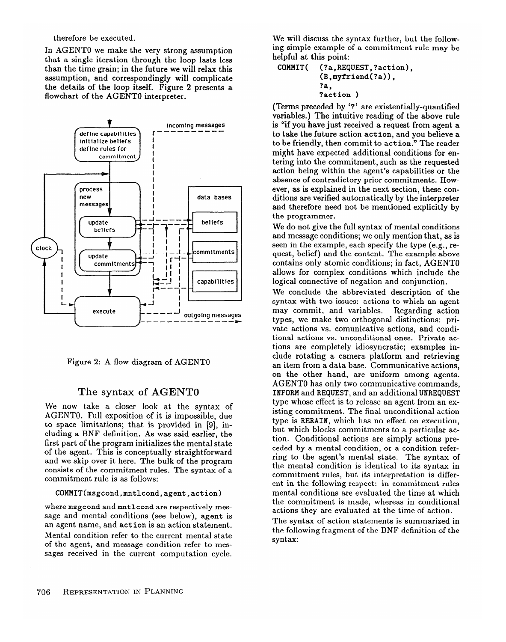therefore be executed.

In AGENT0 we make the very strong assumption that a single iteration through the loop lasts less than the time grain; in the future we will relax this assumption, and correspondingly will complicate the details of the loop itself. Figure 2 presents a flowchart of the AGENT0 interpreter.





#### **The syntax of AGENT0**

We now take a closer look at the syntax of AGENTO. Full exposition of it is impossible, due to space limitations; that is provided in [9], including a BNF definition. As was said earlier, the first part of the program initializes the mental state of the agent. This is conceptually straightforward and we skip over it here. The bulk of the program consists of the commitment rules. The syntax of a commitment rule is as follows:

### COMMIT(msgcond,mntlcond,agent,action)

where msgcond and mntlcond are respectively message and mental conditions (see below), agent is an agent name, and action is an action statement. Mental condition refer to the current mental state of the agent, and message condition refer to messages received in the current computation cycle.

We will discuss the syntax further, but the following simple example of a commitment rule may be helpful at this point:

COMMIT( (?a,REQUEST,?action), (B,myfriend(?a)),  $2a$ ?action )

(Terms preceded by '?' are existentially-quantified variables.) The intuitive reading of the above rule is "if you have just received a request from agent a to take the future action action, and you believe a to be friendly, then commit to action." The reader might have expected additional conditions for entering into the commitment, such as the requested action being within the agent's capabilities or the absence of contradictory prior commitments. However, as is explained in the next section, these conditions are verified automatically by the interpreter and therefore need not be mentioned explicitly by the programmer.

We do not give the full syntax of mental conditions and message conditions; we only mention that, as is seen in the example, each specify the type (e.g., request, belief) and the content. The example above contains only atomic conditions; in fact, AGENT0 allows for complex conditions which include the logical connective of negation and conjunction.

We conclude the abbreviated description of the syntax with two issues: actions to which an agent may commit, and variables. Regarding action may commit, and variables. types, we make two orthogonal distinctions: private actions vs. comunicative actions, and conditional actions vs. unconditional ones. Private actions are completely idiosyncratic; examples include rotating a camera platform and retrieving an item from a data base. Communicative actions, on the other hand, are uniform among agents. AGENT0 has only two communicative commands, INFORM and REQUEST, and an additional UNREQUEST type whose effect is to release an agent from an existing commitment. The final unconditional action type is RERAIN, which has no effect on execution, but which blocks commitments to a particular action. Conditional actions are simply actions preceded by a mental condition, or a condition referring to the agent's mental state. The syntax of the mental condition is identical to its syntax in commitment rules, but its interpretation is different in the following respect: in commitment rules mental conditions are evaluated the time at which the commitment is made, whereas in conditional actions they are evaluated at the time of action.

The syntax of action statements is summarized in the following fragment of the BNF definition of the syntax: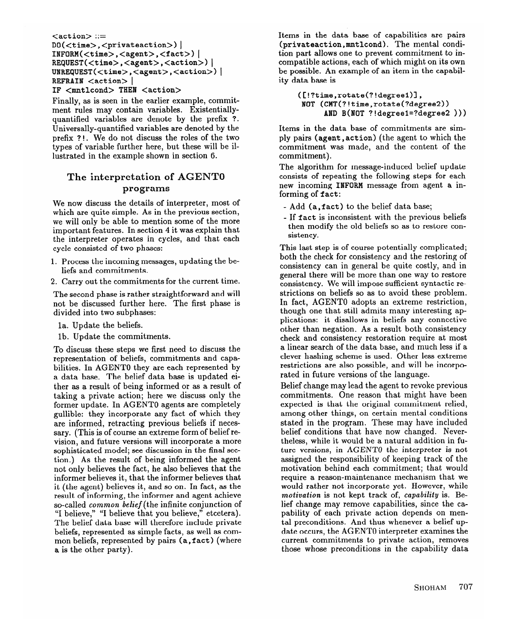#### <action> ::= DO(<time>,<privateaction>) | INFORM(<time>,<agent>,<fact>) |  $REQUEST(, <agent>, <action>) |$ REQUEST(<time>,<agent>,<action>)|<br>UNREQUEST(<time>,<agent>,<action>) REFRAIN  $\langle$  action $>$ IF <mntlcond> THEN <action> >) |

Finally, as is seen in the earlier example, commitment rules may contain variables. Existentiallyquantified variables are denote by the prefix ?. Universally-quantified variables are denoted by the prefix ? ! . We do not discuss the roles of the two types of variable further here, but these will be illustrated in the example shown in section 6.

# The interpretation of AGENT0 **programs**

We now discuss the details of interpreter, most of which are quite simple. As in the previous section, we will only be able to mention some of the more important features. In section 4 it was explain that the interpreter operates in cycles, and that each cycle consisted of two phases:

- 1. Process the incoming messages, updating the beliefs and commitments.
- 2. Carry out the commitments for the current time.

The second phase is rather straightforward and will not be discussed further here. The first phase is divided into two subphases:

- la. Update the beliefs.
- lb. Update the commitments.

To discuss these steps we first need to discuss the representation of beliefs, commitments and capa-<br>bilities. In AGENT0 they are each represented by bilities. In ACHIVIO they are each represented by a data base. The belief data base is updated either as a result of being informed or as a result of taking a private action; here we discuss only the former update. In AGENT0 agents are completely gullible: they incorporate any fact of which they sary. (This is of course an extreme form of belief revision, and future versions will incorporate a more sophisticated model; see discussion in the final section.) As the result of being informed the agent not only believes the fact, he also believes that the informer believes it, that the informer believes that it (the agent) believes it, and so on. In fact, as the result of informing, the informer and agent achieve. so-called *common belief* (the infinite conjunction of "I believe," "I believe that you believe," etcetera). The belief data base will therefore include private beliefs, represented as simple facts, as well as combeliefs, represented as simple facts, as well as com- $\frac{1}{2}$  is the other party. a is the other party).

Items in the data base of capabilities are pairs (privateaction,mntlcond). The mental condition part allows one to prevent commitment to incompatible actions, each of which might on its own be possible. An example of an item in the capability data base is

> ([!?time,rotate(?!degreel)l , NOT (CMT(?!time,rotate(?degree2)) AND B(NOT ?!degreel=?degree2 )))

Items in the data base of commitments are simply pairs (agent ) act ion) (the agent to which the commitment was made, and the content of the commitment).

The algorithm for message-induced belief update consists of repeating the following steps for each new incoming INFORM message from agent a informing of fact:

- Add (a, fact) to the belief data base;
- If fact is inconsistent with the previous beliefs then modify the old beliefs so as to restore consistency.

This last step is of course potentially complicated; both the check for consistency and the restoring of consistency can in general be quite costly, and in general there will be more than one way to restore consistency. We will impose sufficient syntactic restrictions on beliefs so as to avoid these problem. In fact, AGENT0 adopts an extreme restriction, though one that still admits many interesting applications: it disallows in beliefs any connective other than negation. As a result both consistency check and consistency restoration require at most a linear search of the data base, and much less if a clever hashing scheme is used. Other less extreme restrictions are also possible, and will be incorporated in future versions of the language.

Belief change may lead the agent to revoke previous commitments. One reason that might have been expected is that the original commitment relied, among other things, on certain mental conditions stated in the program. These may have included belief conditions that have now changed. Never-<br>theless, while it would be a natural addition in future versions, in AGENT0 the interpreter is not assigned the responsibility of keeping track of the motivation behind each commitment; that would require a reason-maintenance mechanism that we would rather not incorporate yet. However, while motivation is not kept track of, capability is. Belief change may remove capabilities, since the capability of each private action depends on mental preconditions. And thus whenever a belief update occurs, the AGENT0 interpreter examines the current commitments to private action, removes current commitments to private action, removes those whose preconditions in the capability data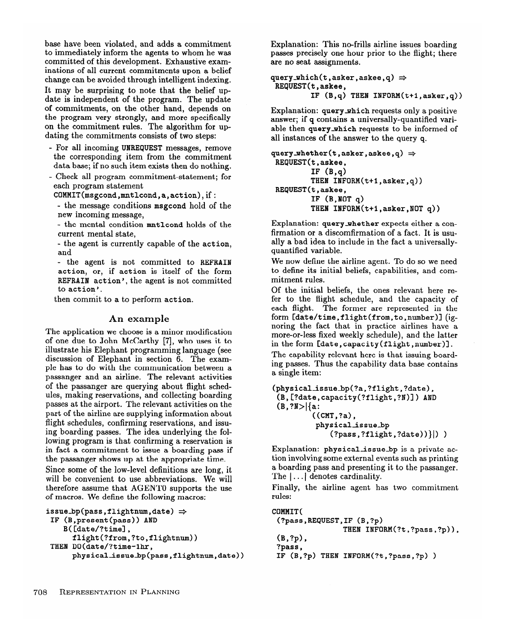base have been violated, and adds a commitment to immediately inform the agents to whom he was committed of this development. Exhaustive examinations of all current commitments upon a belief change can be avoided through intelligent indexing. It may be surprising to note that the belief update is independent of the program. The update of commitments, on the other hand, depends on the program very strongly, and more specifically on the commitment rules. The algorithm for updating the commitments consists of two steps:

- For all incoming UNREQUEST messages, remove the corresponding item from the commitment data base; if no such item exists then do nothing.
- Check all program commitment-statement; for each program statement

COMMIT(msgcond,mntlcond,a,action), if:

- the message conditions msgcond hold of the new incoming message,

- the mental condition mntlcond holds of the current mental state,

- the agent is currently capable of the action, and

- the agent is not committed to REFRAIN action, or, if action is itself of the form REFRAIN action', the agent is not committed to action'.

then commit to a to perform action.

#### **An example**

The application we choose is a minor modification of one due to John McCarthy [7], who uses it to illustrate his Elephant programming language (see discussion of Elephant in section 6. The example has to do with the communication between a passanger and an airline. The relevant activities of the passanger are querying about flight schedules, making reservations, and collecting boarding passes at the airport. The relevant activities on the part of the airline are supplying information about flight schedules, confirming reservations, and issu-<br>ing boarding passes. The idea underlying the following program is that confirming a reservation is in fact a commitment to issue a boarding pass if the passanger shows up at the appropriate time.

Since some of the low-level definitions are long, it will be convenient to use abbreviations. We will therefore assume that AGENT0 supports the use therefore assume that  $M_{\text{eff}}$  is  $f_{\text{eff}}$  and  $f_{\text{eff}}$  is the use of the use of macros. We define the following macros:

```
issue_bp(pass,flightnum,date) \Rightarrow COMMIT(<br>IF (B,present(pass)) AND (?pass
      \text{flight}(\text{?from}, \text{?to}, \text{flightnum}) (B, ?p),
 THEN DO(date/?time-1hr, ?pass,
      physical_issue_bp(pass,flightnum,date))
```
Explanation: This no-frills airline issues boarding passes precisely one hour prior to the flight; there are no seat assignments.

```
query_which(t,asker,askee,q) \RightarrowREQUEST(t,askee, 
          IF (B,q) THEN INFORM(t+1, asker, q))
```
Explanation: query which requests only a positive answer; if q contains a universally-quantified variable then query-which requests to be informed of all instances of the answer to the query q.

```
query_whether(t,asker,askee,q) \RightarrowREQUEST(t,askee, 
         IF (B,q)THEN INFORM(t+l,asker,q)) 
REQUEST(t,askee, 
         IF (B, NOT q)THEN INFORM(t+l,asker,NOT q))
```
Explanation: query-whether expects either a confirmation or a discomfirmation of a fact. It is usually a bad idea to include in the fact a universallyquantified variable.

We now define the airline agent. To do so we need to define its initial beliefs, capabilities, and commitment rules.

Of the initial beliefs, the ones relevant here refer to the flight schedule, and the capacity of each flight. The former are represented in the form [date/time, flight(from, to, number)] (ignoring the fact that in practice airlines have a more-or-less fixed weekly schedule), and the latter in the form [date,capacity(flight,number)].

The capability relevant here is that issuing boarding passes. Thus the capability data base contains a single item:

```
(physicalissue-bp(?a,?flight,?date), 
 (B,[?date,c apacity(?flight,?N)]) AND 
 (B, ?N>|\{a: ((CMT, ?a)),physical_issue_bp
           physicalissue-bp 
               (: pass, : ilight, : date) /|1\rangle
```
Explanation: physical issue bp is a private action involving some external events such as printing tion involving some external events such as printing a boarding pass and presenting it to the passanger.<br>The last denotes conditionality The  $| \ldots |$  denotes cardinality.

Finally, the airline agent has two commitment rules:

```
(B,present(pass)) AND (?pass,REQUEST,IF (B,?p)<br>B([date/?time], THEN INFORM(?t,?pass,?p)),
                                                  IF (B, ?p) THEN INFORM(?t,?pass,?p) )
```